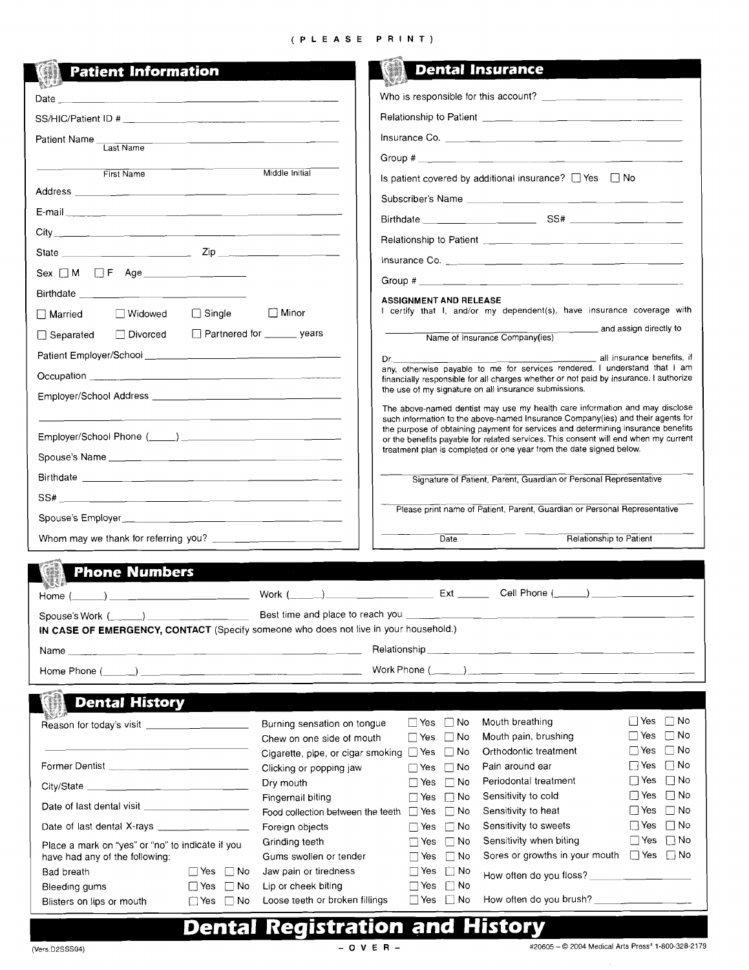### (PLEASE PRINT)

| <b>Patient Information</b>                                                                                                         | <b>Dental Insurance</b>                                                                                                                                                                                                                                                                |
|------------------------------------------------------------------------------------------------------------------------------------|----------------------------------------------------------------------------------------------------------------------------------------------------------------------------------------------------------------------------------------------------------------------------------------|
|                                                                                                                                    |                                                                                                                                                                                                                                                                                        |
| <u> 1980 - Jan James Barnett, amerikansk politik (d. 1980)</u><br>Date $\Box$                                                      |                                                                                                                                                                                                                                                                                        |
|                                                                                                                                    |                                                                                                                                                                                                                                                                                        |
| Patient Name Last Name                                                                                                             |                                                                                                                                                                                                                                                                                        |
|                                                                                                                                    |                                                                                                                                                                                                                                                                                        |
| First Name                                                                                                                         | Middle Initial<br>Is patient covered by additional insurance? $\Box$ Yes $\Box$ No                                                                                                                                                                                                     |
|                                                                                                                                    |                                                                                                                                                                                                                                                                                        |
|                                                                                                                                    |                                                                                                                                                                                                                                                                                        |
|                                                                                                                                    |                                                                                                                                                                                                                                                                                        |
|                                                                                                                                    |                                                                                                                                                                                                                                                                                        |
| Sex $\Box$ M $\Box$ F Age _______________                                                                                          |                                                                                                                                                                                                                                                                                        |
| Birthdate <u>_______________________________</u>                                                                                   | <b>ASSIGNMENT AND RELEASE</b>                                                                                                                                                                                                                                                          |
| $\Box$ Single<br>$\Box$ Minor<br>□ Widowed<br><b>□ Married</b>                                                                     | I certify that I, and/or my dependent(s), have insurance coverage with                                                                                                                                                                                                                 |
| Partnered for _______ years<br>□ Separated □ Divorced                                                                              | and assign directly to<br>Name of Insurance Company(ies)                                                                                                                                                                                                                               |
|                                                                                                                                    | Dr. 2001 - Communication Communication Communication Communication Communication Communication Communication Communication Communication Communication Communication Communication Communication Communication Communication C                                                         |
|                                                                                                                                    | any, otherwise payable to me for services rendered. I understand that I am<br>financially responsible for all charges whether or not paid by insurance. I authorize                                                                                                                    |
|                                                                                                                                    | the use of my signature on all insurance submissions.                                                                                                                                                                                                                                  |
|                                                                                                                                    | The above-named dentist may use my health care information and may disclose                                                                                                                                                                                                            |
|                                                                                                                                    | such information to the above-named Insurance Company(ies) and their agents for<br>the purpose of obtaining payment for services and determining insurance benefits                                                                                                                    |
|                                                                                                                                    | or the benefits payable for related services. This consent will end when my current<br>treatment plan is completed or one year from the date signed below.                                                                                                                             |
|                                                                                                                                    |                                                                                                                                                                                                                                                                                        |
|                                                                                                                                    | Signature of Patient, Parent, Guardian or Personal Representative                                                                                                                                                                                                                      |
|                                                                                                                                    | Please print name of Patient, Parent, Guardian or Personal Representative                                                                                                                                                                                                              |
|                                                                                                                                    |                                                                                                                                                                                                                                                                                        |
|                                                                                                                                    | Relationship to Patient<br>Date                                                                                                                                                                                                                                                        |
| <b>Phone Numbers</b>                                                                                                               |                                                                                                                                                                                                                                                                                        |
|                                                                                                                                    | Cell Phone $(\_\_)$                                                                                                                                                                                                                                                                    |
| Home (                                                                                                                             | Work $(\_\_ \_ )$                                                                                                                                                                                                                                                                      |
| $Spouse's Work (\underline{\hspace{1cm}})$<br>IN CASE OF EMERGENCY, CONTACT (Specify someone who does not live in your household.) | Best time and place to reach you $\frac{1}{2}$ and $\frac{1}{2}$ and $\frac{1}{2}$ and $\frac{1}{2}$ and $\frac{1}{2}$ and $\frac{1}{2}$ and $\frac{1}{2}$ and $\frac{1}{2}$ and $\frac{1}{2}$ and $\frac{1}{2}$ and $\frac{1}{2}$ and $\frac{1}{2}$ and $\frac{1}{2}$ and $\frac{1}{$ |
| <u> 1989 - Johann John Harry Harry Harry Harry Harry Harry Harry Harry Harry Harry Harry Harry Harry Harry Harry H</u><br>Name     |                                                                                                                                                                                                                                                                                        |
|                                                                                                                                    |                                                                                                                                                                                                                                                                                        |
|                                                                                                                                    |                                                                                                                                                                                                                                                                                        |
| <b>Dental History</b>                                                                                                              |                                                                                                                                                                                                                                                                                        |
|                                                                                                                                    | $\Box$ Yes $\Box$ No<br>Mouth breathing<br>$\Box$ Yes $\Box$ No<br>Burning sensation on tongue                                                                                                                                                                                         |
|                                                                                                                                    | $\Box$ No<br>Mouth pain, brushing<br>∣ Yes<br>$\Box$ Yes $\Box$ No<br>Chew on one side of mouth                                                                                                                                                                                        |
| Former Dentist _____________________________                                                                                       | $\Box$ No<br>Orthodontic treatment<br>∐ Yes<br>Cigarette, pipe, or cigar smoking $\Box$ Yes $\Box$ No<br>$\Box$ No<br>$\Box$ Yes<br>Pain around ear<br>$\Box$ Yes $\Box$ No                                                                                                            |
| Dry mouth                                                                                                                          | Clicking or popping jaw<br>$\Box$ No<br>$\Box$ Yes<br>Periodontal treatment<br>$\Box$ No<br>$\Box$ Yes                                                                                                                                                                                 |
|                                                                                                                                    | $\Box$ Yes $\Box$ No<br>Sensitivity to cold<br>Fingernail biting<br>$\Box$ Yes<br>$\Box$ No                                                                                                                                                                                            |
|                                                                                                                                    | $\Box$ No<br>Sensitivity to heat<br>$\Box$ Yes<br>Food collection between the teeth $\Box$ Yes<br>$\Box$ No<br>$\Box$ Yes $\Box$ No<br>Sensitivity to sweets                                                                                                                           |
|                                                                                                                                    | Foreign objects<br>$\Box$ No<br>⊟ Yes<br>$\Box$ Yes $\Box$ No<br>Sensitivity when biting<br>Grinding teeth<br>$\Box$ No<br>∏ Yes                                                                                                                                                       |
| Place a mark on "yes" or "no" to indicate if you<br>have had any of the following:                                                 | Sores or growths in your mouth J Yes D No<br>Gums swollen or tender<br>$\Box$ Yes<br>$\Box$ No                                                                                                                                                                                         |
| $\Box$ Yes $\Box$ No<br>Bad breath                                                                                                 | Jaw pain or tiredness<br>$\Box$ Yes<br>$\Box$ No<br>How often do you floss? _____________________                                                                                                                                                                                      |
| Bleeding gums<br>[   Yes □ No                                                                                                      | Lip or cheek biting<br>$\Box$ Yes<br>$\Box$ No<br>Loose teeth or broken fillings<br>$\Box$ Yes $\Box$ No                                                                                                                                                                               |
| $\Box$ Yes $\Box$ No<br>Blisters on lips or mouth                                                                                  |                                                                                                                                                                                                                                                                                        |

# **Dental Registration and History**